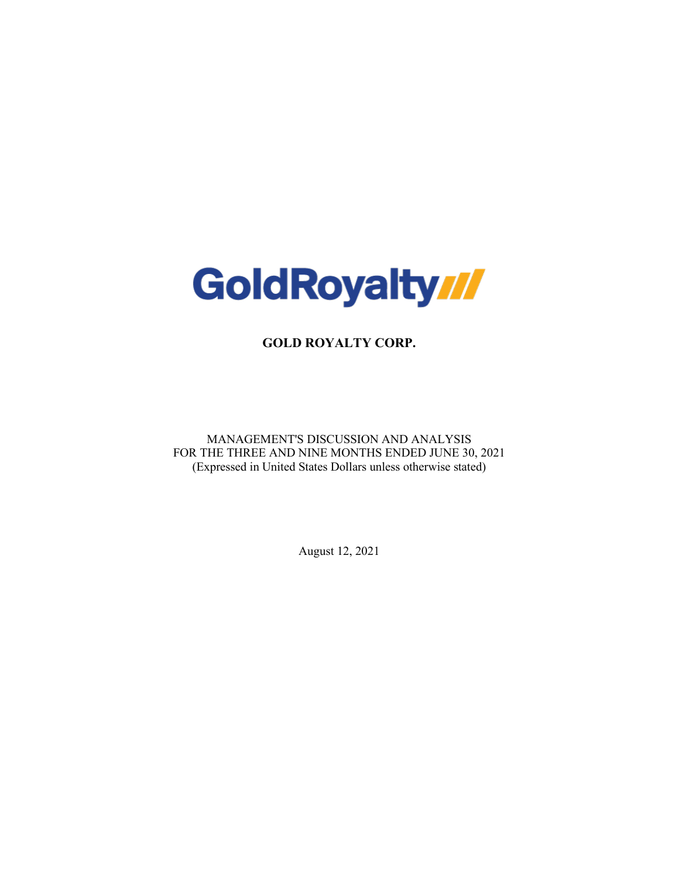

**GOLD ROYALTY CORP.**

MANAGEMENT'S DISCUSSION AND ANALYSIS FOR THE THREE AND NINE MONTHS ENDED JUNE 30, 2021 (Expressed in United States Dollars unless otherwise stated)

August 12, 2021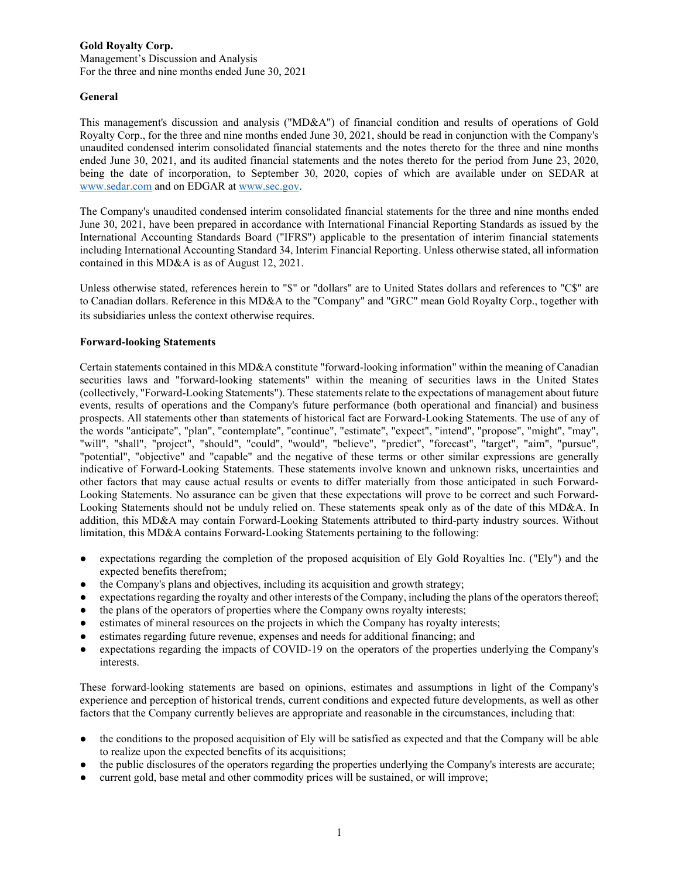Management's Discussion and Analysis For the three and nine months ended June 30, 2021

## **General**

This management's discussion and analysis ("MD&A") of financial condition and results of operations of Gold Royalty Corp., for the three and nine months ended June 30, 2021, should be read in conjunction with the Company's unaudited condensed interim consolidated financial statements and the notes thereto for the three and nine months ended June 30, 2021, and its audited financial statements and the notes thereto for the period from June 23, 2020, being the date of incorporation, to September 30, 2020, copies of which are available under on SEDAR at [www.sedar.com](http://www.sedar.com/) and on EDGAR a[t www.sec.gov.](http://www.sec.gov/edgar)

The Company's unaudited condensed interim consolidated financial statements for the three and nine months ended June 30, 2021, have been prepared in accordance with International Financial Reporting Standards as issued by the International Accounting Standards Board ("IFRS") applicable to the presentation of interim financial statements including International Accounting Standard 34, Interim Financial Reporting. Unless otherwise stated, all information contained in this MD&A is as of August 12, 2021.

Unless otherwise stated, references herein to "\$" or "dollars" are to United States dollars and references to "C\$" are to Canadian dollars. Reference in this MD&A to the "Company" and "GRC" mean Gold Royalty Corp., together with its subsidiaries unless the context otherwise requires.

### **Forward-looking Statements**

Certain statements contained in this MD&A constitute "forward-looking information" within the meaning of Canadian securities laws and "forward-looking statements" within the meaning of securities laws in the United States (collectively, "Forward-Looking Statements"). These statements relate to the expectations of management about future events, results of operations and the Company's future performance (both operational and financial) and business prospects. All statements other than statements of historical fact are Forward-Looking Statements. The use of any of the words "anticipate", "plan", "contemplate", "continue", "estimate", "expect", "intend", "propose", "might", "may", "will", "shall", "project", "should", "could", "would", "believe", "predict", "forecast", "target", "aim", "pursue", "potential", "objective" and "capable" and the negative of these terms or other similar expressions are generally indicative of Forward-Looking Statements. These statements involve known and unknown risks, uncertainties and other factors that may cause actual results or events to differ materially from those anticipated in such Forward-Looking Statements. No assurance can be given that these expectations will prove to be correct and such Forward-Looking Statements should not be unduly relied on. These statements speak only as of the date of this MD&A. In addition, this MD&A may contain Forward-Looking Statements attributed to third-party industry sources. Without limitation, this MD&A contains Forward-Looking Statements pertaining to the following:

- expectations regarding the completion of the proposed acquisition of Ely Gold Royalties Inc. ("Ely") and the expected benefits therefrom;
- the Company's plans and objectives, including its acquisition and growth strategy;
- expectations regarding the royalty and other interests of the Company, including the plans of the operators thereof;
- the plans of the operators of properties where the Company owns royalty interests;
- estimates of mineral resources on the projects in which the Company has royalty interests;
- estimates regarding future revenue, expenses and needs for additional financing; and
- expectations regarding the impacts of COVID-19 on the operators of the properties underlying the Company's interests.

These forward-looking statements are based on opinions, estimates and assumptions in light of the Company's experience and perception of historical trends, current conditions and expected future developments, as well as other factors that the Company currently believes are appropriate and reasonable in the circumstances, including that:

- the conditions to the proposed acquisition of Ely will be satisfied as expected and that the Company will be able to realize upon the expected benefits of its acquisitions;
- the public disclosures of the operators regarding the properties underlying the Company's interests are accurate;
- current gold, base metal and other commodity prices will be sustained, or will improve;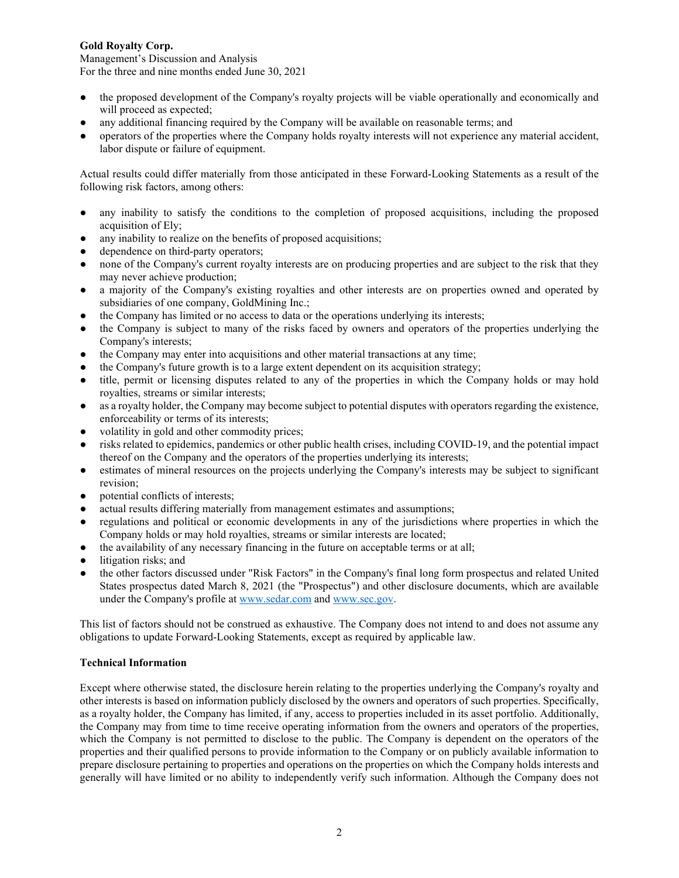Management's Discussion and Analysis For the three and nine months ended June 30, 2021

- the proposed development of the Company's royalty projects will be viable operationally and economically and will proceed as expected;
- any additional financing required by the Company will be available on reasonable terms; and
- operators of the properties where the Company holds royalty interests will not experience any material accident, labor dispute or failure of equipment.

Actual results could differ materially from those anticipated in these Forward-Looking Statements as a result of the following risk factors, among others:

- any inability to satisfy the conditions to the completion of proposed acquisitions, including the proposed acquisition of Ely;
- any inability to realize on the benefits of proposed acquisitions;
- dependence on third-party operators;
- none of the Company's current royalty interests are on producing properties and are subject to the risk that they may never achieve production;
- a majority of the Company's existing royalties and other interests are on properties owned and operated by subsidiaries of one company, GoldMining Inc.;
- the Company has limited or no access to data or the operations underlying its interests;
- the Company is subject to many of the risks faced by owners and operators of the properties underlying the Company's interests;
- the Company may enter into acquisitions and other material transactions at any time;
- the Company's future growth is to a large extent dependent on its acquisition strategy;
- title, permit or licensing disputes related to any of the properties in which the Company holds or may hold royalties, streams or similar interests;
- as a royalty holder, the Company may become subject to potential disputes with operators regarding the existence, enforceability or terms of its interests;
- volatility in gold and other commodity prices;
- risks related to epidemics, pandemics or other public health crises, including COVID-19, and the potential impact thereof on the Company and the operators of the properties underlying its interests;
- estimates of mineral resources on the projects underlying the Company's interests may be subject to significant revision;
- potential conflicts of interests;
- actual results differing materially from management estimates and assumptions;
- regulations and political or economic developments in any of the jurisdictions where properties in which the Company holds or may hold royalties, streams or similar interests are located;
- the availability of any necessary financing in the future on acceptable terms or at all;
- litigation risks; and
- the other factors discussed under "Risk Factors" in the Company's final long form prospectus and related United States prospectus dated March 8, 2021 (the "Prospectus") and other disclosure documents, which are available under the Company's profile at [www.sedar.com](http://www.sedar.com/) and [www.sec.gov.](http://www.sec.gov/)

This list of factors should not be construed as exhaustive. The Company does not intend to and does not assume any obligations to update Forward-Looking Statements, except as required by applicable law.

## **Technical Information**

Except where otherwise stated, the disclosure herein relating to the properties underlying the Company's royalty and other interests is based on information publicly disclosed by the owners and operators of such properties. Specifically, as a royalty holder, the Company has limited, if any, access to properties included in its asset portfolio. Additionally, the Company may from time to time receive operating information from the owners and operators of the properties, which the Company is not permitted to disclose to the public. The Company is dependent on the operators of the properties and their qualified persons to provide information to the Company or on publicly available information to prepare disclosure pertaining to properties and operations on the properties on which the Company holds interests and generally will have limited or no ability to independently verify such information. Although the Company does not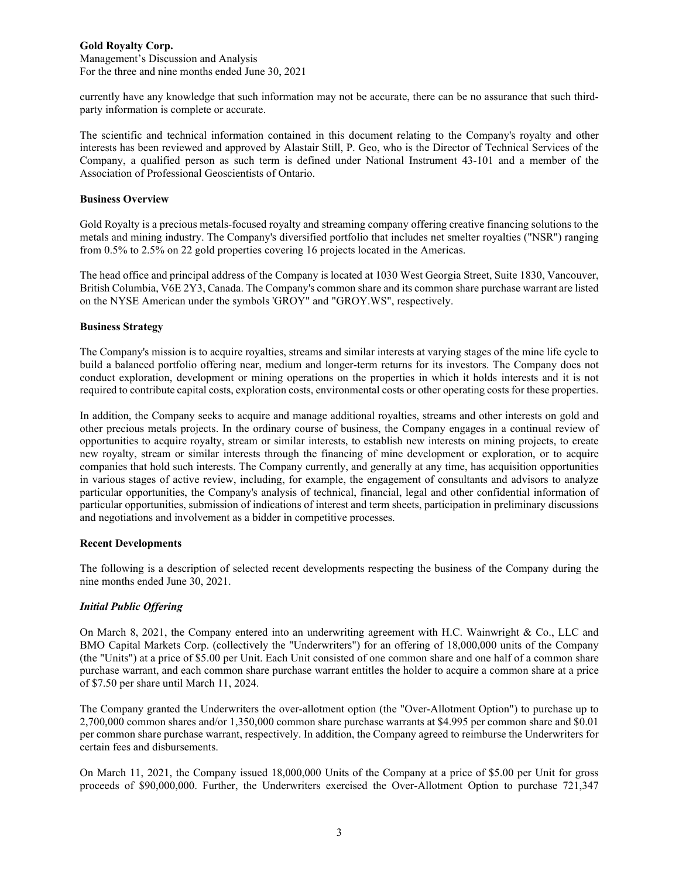Management's Discussion and Analysis For the three and nine months ended June 30, 2021

currently have any knowledge that such information may not be accurate, there can be no assurance that such thirdparty information is complete or accurate.

The scientific and technical information contained in this document relating to the Company's royalty and other interests has been reviewed and approved by Alastair Still, P. Geo, who is the Director of Technical Services of the Company, a qualified person as such term is defined under National Instrument 43-101 and a member of the Association of Professional Geoscientists of Ontario.

### **Business Overview**

Gold Royalty is a precious metals-focused royalty and streaming company offering creative financing solutions to the metals and mining industry. The Company's diversified portfolio that includes net smelter royalties ("NSR") ranging from 0.5% to 2.5% on 22 gold properties covering 16 projects located in the Americas.

The head office and principal address of the Company is located at 1030 West Georgia Street, Suite 1830, Vancouver, British Columbia, V6E 2Y3, Canada. The Company's common share and its common share purchase warrant are listed on the NYSE American under the symbols 'GROY" and "GROY.WS", respectively.

## **Business Strategy**

The Company's mission is to acquire royalties, streams and similar interests at varying stages of the mine life cycle to build a balanced portfolio offering near, medium and longer-term returns for its investors. The Company does not conduct exploration, development or mining operations on the properties in which it holds interests and it is not required to contribute capital costs, exploration costs, environmental costs or other operating costs for these properties.

In addition, the Company seeks to acquire and manage additional royalties, streams and other interests on gold and other precious metals projects. In the ordinary course of business, the Company engages in a continual review of opportunities to acquire royalty, stream or similar interests, to establish new interests on mining projects, to create new royalty, stream or similar interests through the financing of mine development or exploration, or to acquire companies that hold such interests. The Company currently, and generally at any time, has acquisition opportunities in various stages of active review, including, for example, the engagement of consultants and advisors to analyze particular opportunities, the Company's analysis of technical, financial, legal and other confidential information of particular opportunities, submission of indications of interest and term sheets, participation in preliminary discussions and negotiations and involvement as a bidder in competitive processes.

#### **Recent Developments**

The following is a description of selected recent developments respecting the business of the Company during the nine months ended June 30, 2021.

## *Initial Public Offering*

On March 8, 2021, the Company entered into an underwriting agreement with H.C. Wainwright & Co., LLC and BMO Capital Markets Corp. (collectively the "Underwriters") for an offering of 18,000,000 units of the Company (the "Units") at a price of \$5.00 per Unit. Each Unit consisted of one common share and one half of a common share purchase warrant, and each common share purchase warrant entitles the holder to acquire a common share at a price of \$7.50 per share until March 11, 2024.

The Company granted the Underwriters the over-allotment option (the "Over-Allotment Option") to purchase up to 2,700,000 common shares and/or 1,350,000 common share purchase warrants at \$4.995 per common share and \$0.01 per common share purchase warrant, respectively. In addition, the Company agreed to reimburse the Underwriters for certain fees and disbursements.

On March 11, 2021, the Company issued 18,000,000 Units of the Company at a price of \$5.00 per Unit for gross proceeds of \$90,000,000. Further, the Underwriters exercised the Over-Allotment Option to purchase 721,347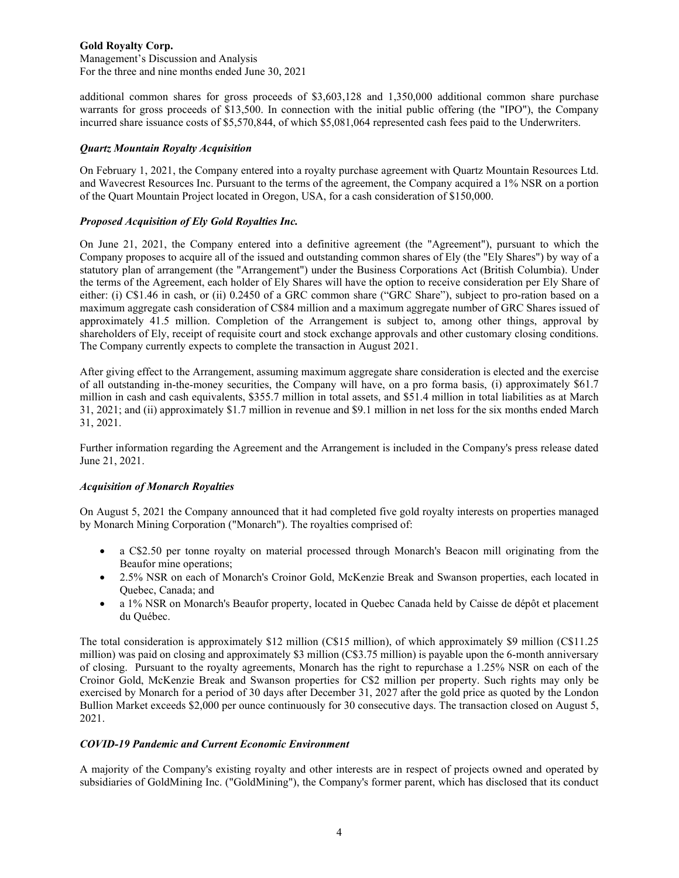Management's Discussion and Analysis For the three and nine months ended June 30, 2021

additional common shares for gross proceeds of \$3,603,128 and 1,350,000 additional common share purchase warrants for gross proceeds of \$13,500. In connection with the initial public offering (the "IPO"), the Company incurred share issuance costs of \$5,570,844, of which \$5,081,064 represented cash fees paid to the Underwriters.

### *Quartz Mountain Royalty Acquisition*

On February 1, 2021, the Company entered into a royalty purchase agreement with Quartz Mountain Resources Ltd. and Wavecrest Resources Inc. Pursuant to the terms of the agreement, the Company acquired a 1% NSR on a portion of the Quart Mountain Project located in Oregon, USA, for a cash consideration of \$150,000.

## *Proposed Acquisition of Ely Gold Royalties Inc.*

On June 21, 2021, the Company entered into a definitive agreement (the "Agreement"), pursuant to which the Company proposes to acquire all of the issued and outstanding common shares of Ely (the "Ely Shares") by way of a statutory plan of arrangement (the "Arrangement") under the Business Corporations Act (British Columbia). Under the terms of the Agreement, each holder of Ely Shares will have the option to receive consideration per Ely Share of either: (i) C\$1.46 in cash, or (ii) 0.2450 of a GRC common share ("GRC Share"), subject to pro-ration based on a maximum aggregate cash consideration of C\$84 million and a maximum aggregate number of GRC Shares issued of approximately 41.5 million. Completion of the Arrangement is subject to, among other things, approval by shareholders of Ely, receipt of requisite court and stock exchange approvals and other customary closing conditions. The Company currently expects to complete the transaction in August 2021.

After giving effect to the Arrangement, assuming maximum aggregate share consideration is elected and the exercise of all outstanding in-the-money securities, the Company will have, on a pro forma basis, (i) approximately \$61.7 million in cash and cash equivalents, \$355.7 million in total assets, and \$51.4 million in total liabilities as at March 31, 2021; and (ii) approximately \$1.7 million in revenue and \$9.1 million in net loss for the six months ended March 31, 2021.

Further information regarding the Agreement and the Arrangement is included in the Company's press release dated June 21, 2021.

## *Acquisition of Monarch Royalties*

On August 5, 2021 the Company announced that it had completed five gold royalty interests on properties managed by Monarch Mining Corporation ("Monarch"). The royalties comprised of:

- a C\$2.50 per tonne royalty on material processed through Monarch's Beacon mill originating from the Beaufor mine operations;
- 2.5% NSR on each of Monarch's Croinor Gold, McKenzie Break and Swanson properties, each located in Quebec, Canada; and
- a 1% NSR on Monarch's Beaufor property, located in Quebec Canada held by Caisse de dépôt et placement du Québec.

The total consideration is approximately \$12 million (C\$15 million), of which approximately \$9 million (C\$11.25 million) was paid on closing and approximately \$3 million (C\$3.75 million) is payable upon the 6-month anniversary of closing. Pursuant to the royalty agreements, Monarch has the right to repurchase a 1.25% NSR on each of the Croinor Gold, McKenzie Break and Swanson properties for C\$2 million per property. Such rights may only be exercised by Monarch for a period of 30 days after December 31, 2027 after the gold price as quoted by the London Bullion Market exceeds \$2,000 per ounce continuously for 30 consecutive days. The transaction closed on August 5, 2021.

## *COVID-19 Pandemic and Current Economic Environment*

A majority of the Company's existing royalty and other interests are in respect of projects owned and operated by subsidiaries of GoldMining Inc. ("GoldMining"), the Company's former parent, which has disclosed that its conduct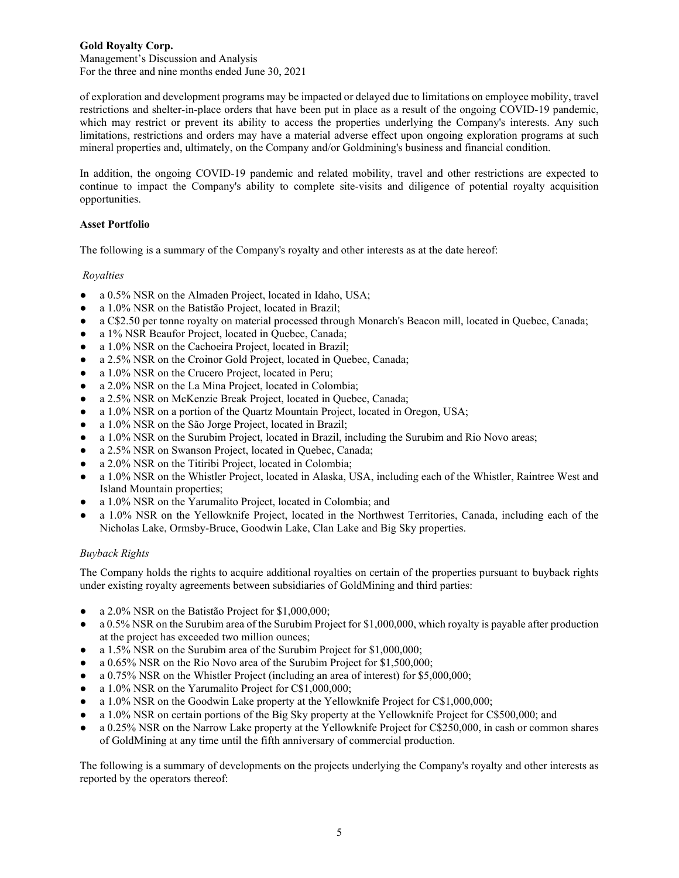Management's Discussion and Analysis For the three and nine months ended June 30, 2021

of exploration and development programs may be impacted or delayed due to limitations on employee mobility, travel restrictions and shelter-in-place orders that have been put in place as a result of the ongoing COVID-19 pandemic, which may restrict or prevent its ability to access the properties underlying the Company's interests. Any such limitations, restrictions and orders may have a material adverse effect upon ongoing exploration programs at such mineral properties and, ultimately, on the Company and/or Goldmining's business and financial condition.

In addition, the ongoing COVID-19 pandemic and related mobility, travel and other restrictions are expected to continue to impact the Company's ability to complete site-visits and diligence of potential royalty acquisition opportunities.

## **Asset Portfolio**

The following is a summary of the Company's royalty and other interests as at the date hereof:

## *Royalties*

- a 0.5% NSR on the Almaden Project, located in Idaho, USA;
- a 1.0% NSR on the Batistão Project, located in Brazil;
- a C\$2.50 per tonne royalty on material processed through Monarch's Beacon mill, located in Quebec, Canada;
- a 1% NSR Beaufor Project, located in Quebec, Canada;
- a 1.0% NSR on the Cachoeira Project, located in Brazil;
- a 2.5% NSR on the Croinor Gold Project, located in Quebec, Canada;
- a 1.0% NSR on the Crucero Project, located in Peru;
- a 2.0% NSR on the La Mina Project, located in Colombia;
- a 2.5% NSR on McKenzie Break Project, located in Quebec, Canada;
- a 1.0% NSR on a portion of the Quartz Mountain Project, located in Oregon, USA;
- a 1.0% NSR on the São Jorge Project, located in Brazil;
- a 1.0% NSR on the Surubim Project, located in Brazil, including the Surubim and Rio Novo areas;
- a 2.5% NSR on Swanson Project, located in Quebec, Canada;
- a 2.0% NSR on the Titiribi Project, located in Colombia;
- a 1.0% NSR on the Whistler Project, located in Alaska, USA, including each of the Whistler, Raintree West and Island Mountain properties;
- a 1.0% NSR on the Yarumalito Project, located in Colombia; and
- a 1.0% NSR on the Yellowknife Project, located in the Northwest Territories, Canada, including each of the Nicholas Lake, Ormsby-Bruce, Goodwin Lake, Clan Lake and Big Sky properties.

## *Buyback Rights*

The Company holds the rights to acquire additional royalties on certain of the properties pursuant to buyback rights under existing royalty agreements between subsidiaries of GoldMining and third parties:

- a 2.0% NSR on the Batistão Project for \$1,000,000;
- a 0.5% NSR on the Surubim area of the Surubim Project for \$1,000,000, which royalty is payable after production at the project has exceeded two million ounces;
- a 1.5% NSR on the Surubim area of the Surubim Project for  $$1,000,000;$
- a 0.65% NSR on the Rio Novo area of the Surubim Project for \$1,500,000;
- a 0.75% NSR on the Whistler Project (including an area of interest) for \$5,000,000;
- a 1.0% NSR on the Yarumalito Project for C\$1,000,000;
- a 1.0% NSR on the Goodwin Lake property at the Yellowknife Project for C\$1,000,000;
- a 1.0% NSR on certain portions of the Big Sky property at the Yellowknife Project for C\$500,000; and
- a 0.25% NSR on the Narrow Lake property at the Yellowknife Project for C\$250,000, in cash or common shares of GoldMining at any time until the fifth anniversary of commercial production.

The following is a summary of developments on the projects underlying the Company's royalty and other interests as reported by the operators thereof: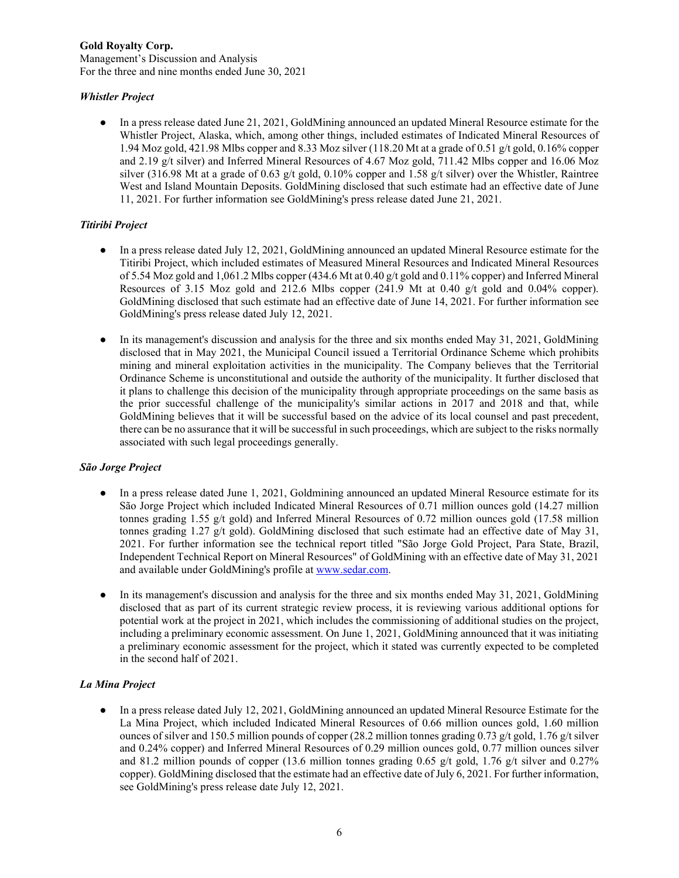### **Gold Royalty Corp.** Management's Discussion and Analysis For the three and nine months ended June 30, 2021

# *Whistler Project*

● In a press release dated June 21, 2021, GoldMining announced an updated Mineral Resource estimate for the Whistler Project, Alaska, which, among other things, included estimates of Indicated Mineral Resources of 1.94 Moz gold, 421.98 Mlbs copper and 8.33 Moz silver (118.20 Mt at a grade of 0.51 g/t gold, 0.16% copper and 2.19 g/t silver) and Inferred Mineral Resources of 4.67 Moz gold, 711.42 Mlbs copper and 16.06 Moz silver (316.98 Mt at a grade of 0.63 g/t gold, 0.10% copper and 1.58 g/t silver) over the Whistler, Raintree West and Island Mountain Deposits. GoldMining disclosed that such estimate had an effective date of June 11, 2021. For further information see GoldMining's press release dated June 21, 2021.

# *Titiribi Project*

- In a press release dated July 12, 2021, GoldMining announced an updated Mineral Resource estimate for the Titiribi Project, which included estimates of Measured Mineral Resources and Indicated Mineral Resources of 5.54 Moz gold and 1,061.2 Mlbs copper (434.6 Mt at 0.40 g/t gold and 0.11% copper) and Inferred Mineral Resources of 3.15 Moz gold and 212.6 Mlbs copper (241.9 Mt at 0.40 g/t gold and 0.04% copper). GoldMining disclosed that such estimate had an effective date of June 14, 2021. For further information see GoldMining's press release dated July 12, 2021.
- In its management's discussion and analysis for the three and six months ended May 31, 2021, GoldMining disclosed that in May 2021, the Municipal Council issued a Territorial Ordinance Scheme which prohibits mining and mineral exploitation activities in the municipality. The Company believes that the Territorial Ordinance Scheme is unconstitutional and outside the authority of the municipality. It further disclosed that it plans to challenge this decision of the municipality through appropriate proceedings on the same basis as the prior successful challenge of the municipality's similar actions in 2017 and 2018 and that, while GoldMining believes that it will be successful based on the advice of its local counsel and past precedent, there can be no assurance that it will be successful in such proceedings, which are subject to the risks normally associated with such legal proceedings generally.

## *São Jorge Project*

- In a press release dated June 1, 2021, Goldmining announced an updated Mineral Resource estimate for its São Jorge Project which included Indicated Mineral Resources of 0.71 million ounces gold (14.27 million tonnes grading 1.55 g/t gold) and Inferred Mineral Resources of 0.72 million ounces gold (17.58 million tonnes grading 1.27 g/t gold). GoldMining disclosed that such estimate had an effective date of May 31, 2021. For further information see the technical report titled "São Jorge Gold Project, Para State, Brazil, Independent Technical Report on Mineral Resources" of GoldMining with an effective date of May 31, 2021 and available under GoldMining's profile at [www.sedar.com.](http://www.sedar.com/)
- In its management's discussion and analysis for the three and six months ended May 31, 2021, GoldMining disclosed that as part of its current strategic review process, it is reviewing various additional options for potential work at the project in 2021, which includes the commissioning of additional studies on the project, including a preliminary economic assessment. On June 1, 2021, GoldMining announced that it was initiating a preliminary economic assessment for the project, which it stated was currently expected to be completed in the second half of 2021.

## *La Mina Project*

● In a press release dated July 12, 2021, GoldMining announced an updated Mineral Resource Estimate for the La Mina Project, which included Indicated Mineral Resources of 0.66 million ounces gold, 1.60 million ounces of silver and 150.5 million pounds of copper (28.2 million tonnes grading 0.73 g/t gold, 1.76 g/t silver and 0.24% copper) and Inferred Mineral Resources of 0.29 million ounces gold, 0.77 million ounces silver and 81.2 million pounds of copper (13.6 million tonnes grading 0.65 g/t gold, 1.76 g/t silver and 0.27% copper). GoldMining disclosed that the estimate had an effective date of July 6, 2021. For further information, see GoldMining's press release date July 12, 2021.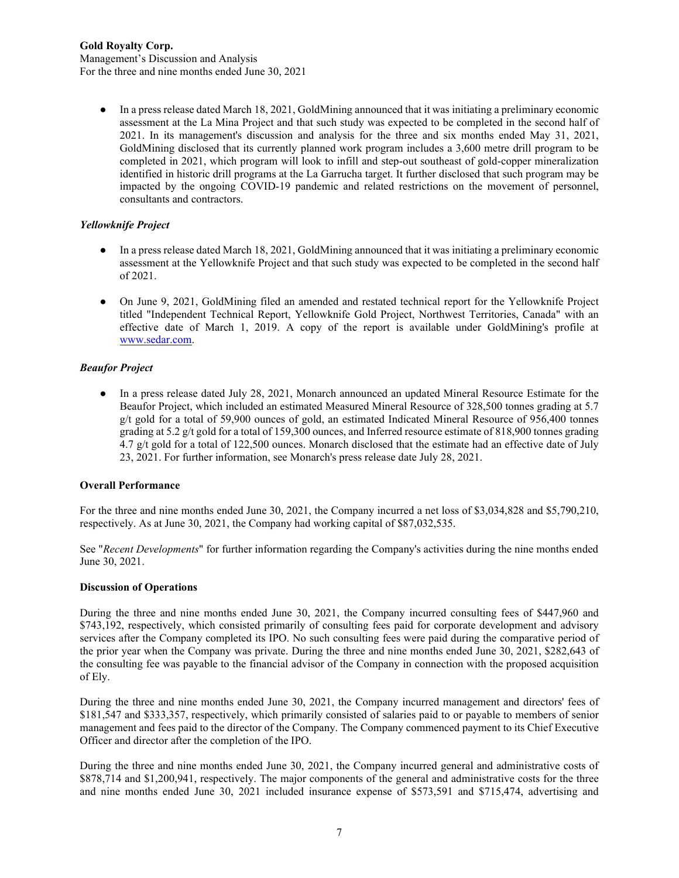Management's Discussion and Analysis For the three and nine months ended June 30, 2021

● In a press release dated March 18, 2021, GoldMining announced that it was initiating a preliminary economic assessment at the La Mina Project and that such study was expected to be completed in the second half of 2021. In its management's discussion and analysis for the three and six months ended May 31, 2021, GoldMining disclosed that its currently planned work program includes a 3,600 metre drill program to be completed in 2021, which program will look to infill and step-out southeast of gold-copper mineralization identified in historic drill programs at the La Garrucha target. It further disclosed that such program may be impacted by the ongoing COVID-19 pandemic and related restrictions on the movement of personnel, consultants and contractors.

# *Yellowknife Project*

- In a press release dated March 18, 2021, GoldMining announced that it was initiating a preliminary economic assessment at the Yellowknife Project and that such study was expected to be completed in the second half of 2021.
- On June 9, 2021, GoldMining filed an amended and restated technical report for the Yellowknife Project titled "Independent Technical Report, Yellowknife Gold Project, Northwest Territories, Canada" with an effective date of March 1, 2019. A copy of the report is available under GoldMining's profile at [www.sedar.com.](http://www.sedar.com/)

# *Beaufor Project*

● In a press release dated July 28, 2021, Monarch announced an updated Mineral Resource Estimate for the Beaufor Project, which included an estimated Measured Mineral Resource of 328,500 tonnes grading at 5.7 g/t gold for a total of 59,900 ounces of gold, an estimated Indicated Mineral Resource of 956,400 tonnes grading at 5.2 g/t gold for a total of 159,300 ounces, and Inferred resource estimate of 818,900 tonnes grading 4.7 g/t gold for a total of 122,500 ounces. Monarch disclosed that the estimate had an effective date of July 23, 2021. For further information, see Monarch's press release date July 28, 2021.

## **Overall Performance**

For the three and nine months ended June 30, 2021, the Company incurred a net loss of \$3,034,828 and \$5,790,210, respectively. As at June 30, 2021, the Company had working capital of \$87,032,535.

See "*Recent Developments*" for further information regarding the Company's activities during the nine months ended June 30, 2021.

## **Discussion of Operations**

During the three and nine months ended June 30, 2021, the Company incurred consulting fees of \$447,960 and \$743,192, respectively, which consisted primarily of consulting fees paid for corporate development and advisory services after the Company completed its IPO. No such consulting fees were paid during the comparative period of the prior year when the Company was private. During the three and nine months ended June 30, 2021, \$282,643 of the consulting fee was payable to the financial advisor of the Company in connection with the proposed acquisition of Ely.

During the three and nine months ended June 30, 2021, the Company incurred management and directors' fees of \$181,547 and \$333,357, respectively, which primarily consisted of salaries paid to or payable to members of senior management and fees paid to the director of the Company. The Company commenced payment to its Chief Executive Officer and director after the completion of the IPO.

During the three and nine months ended June 30, 2021, the Company incurred general and administrative costs of \$878,714 and \$1,200,941, respectively. The major components of the general and administrative costs for the three and nine months ended June 30, 2021 included insurance expense of \$573,591 and \$715,474, advertising and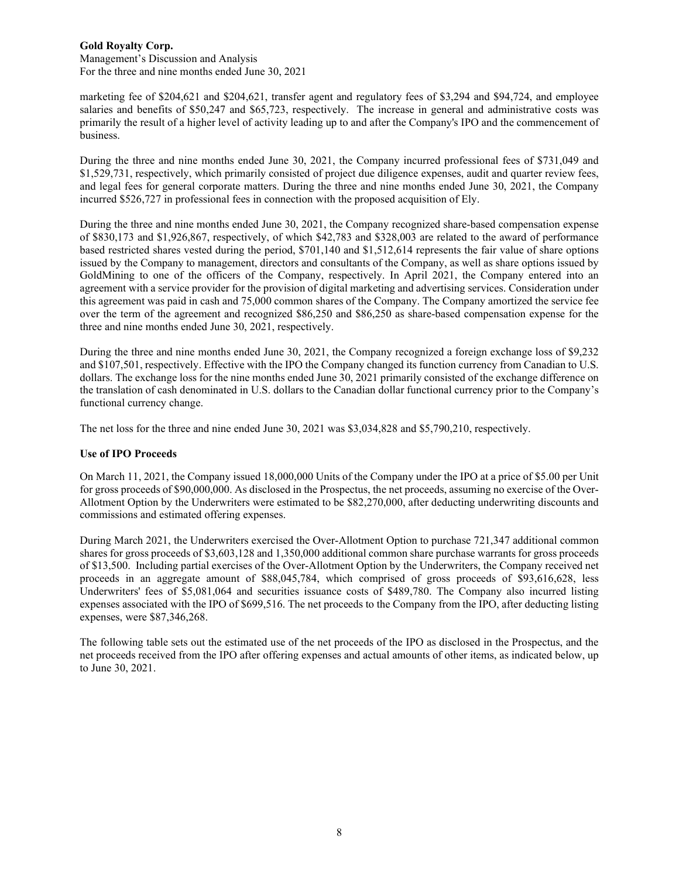Management's Discussion and Analysis For the three and nine months ended June 30, 2021

marketing fee of \$204,621 and \$204,621, transfer agent and regulatory fees of \$3,294 and \$94,724, and employee salaries and benefits of \$50,247 and \$65,723, respectively. The increase in general and administrative costs was primarily the result of a higher level of activity leading up to and after the Company's IPO and the commencement of business.

During the three and nine months ended June 30, 2021, the Company incurred professional fees of \$731,049 and \$1,529,731, respectively, which primarily consisted of project due diligence expenses, audit and quarter review fees, and legal fees for general corporate matters. During the three and nine months ended June 30, 2021, the Company incurred \$526,727 in professional fees in connection with the proposed acquisition of Ely.

During the three and nine months ended June 30, 2021, the Company recognized share-based compensation expense of \$830,173 and \$1,926,867, respectively, of which \$42,783 and \$328,003 are related to the award of performance based restricted shares vested during the period, \$701,140 and \$1,512,614 represents the fair value of share options issued by the Company to management, directors and consultants of the Company, as well as share options issued by GoldMining to one of the officers of the Company, respectively. In April 2021, the Company entered into an agreement with a service provider for the provision of digital marketing and advertising services. Consideration under this agreement was paid in cash and 75,000 common shares of the Company. The Company amortized the service fee over the term of the agreement and recognized \$86,250 and \$86,250 as share-based compensation expense for the three and nine months ended June 30, 2021, respectively.

During the three and nine months ended June 30, 2021, the Company recognized a foreign exchange loss of \$9,232 and \$107,501, respectively. Effective with the IPO the Company changed its function currency from Canadian to U.S. dollars. The exchange loss for the nine months ended June 30, 2021 primarily consisted of the exchange difference on the translation of cash denominated in U.S. dollars to the Canadian dollar functional currency prior to the Company's functional currency change.

The net loss for the three and nine ended June 30, 2021 was \$3,034,828 and \$5,790,210, respectively.

## **Use of IPO Proceeds**

On March 11, 2021, the Company issued 18,000,000 Units of the Company under the IPO at a price of \$5.00 per Unit for gross proceeds of \$90,000,000. As disclosed in the Prospectus, the net proceeds, assuming no exercise of the Over-Allotment Option by the Underwriters were estimated to be \$82,270,000, after deducting underwriting discounts and commissions and estimated offering expenses.

During March 2021, the Underwriters exercised the Over-Allotment Option to purchase 721,347 additional common shares for gross proceeds of \$3,603,128 and 1,350,000 additional common share purchase warrants for gross proceeds of \$13,500. Including partial exercises of the Over-Allotment Option by the Underwriters, the Company received net proceeds in an aggregate amount of \$88,045,784, which comprised of gross proceeds of \$93,616,628, less Underwriters' fees of \$5,081,064 and securities issuance costs of \$489,780. The Company also incurred listing expenses associated with the IPO of \$699,516. The net proceeds to the Company from the IPO, after deducting listing expenses, were \$87,346,268.

The following table sets out the estimated use of the net proceeds of the IPO as disclosed in the Prospectus, and the net proceeds received from the IPO after offering expenses and actual amounts of other items, as indicated below, up to June 30, 2021.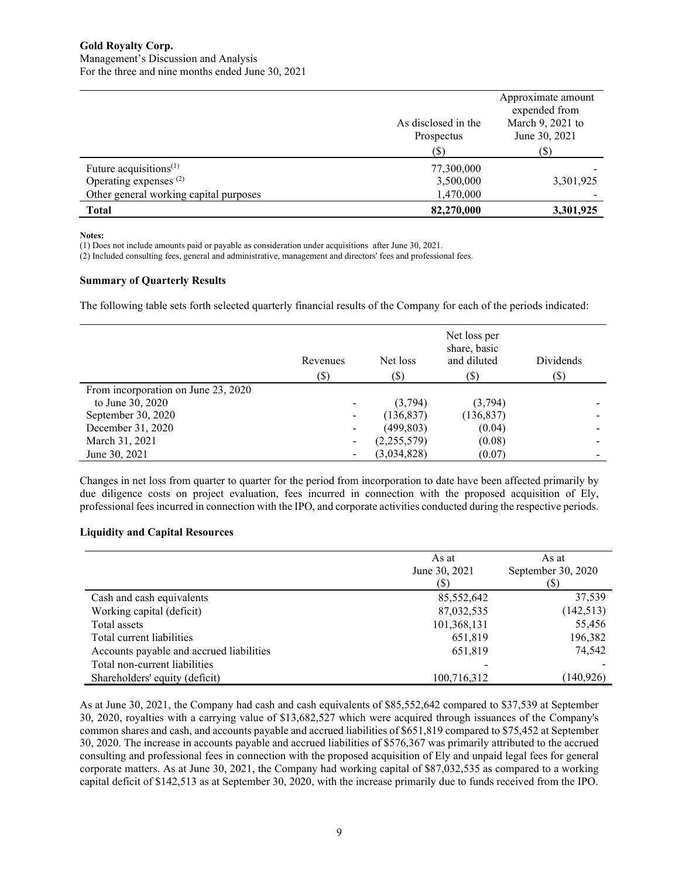|                                                                                                          | As disclosed in the<br>Prospectus<br>(S) | Approximate amount<br>expended from<br>March 9, 2021 to<br>June 30, 2021<br>(\$) |
|----------------------------------------------------------------------------------------------------------|------------------------------------------|----------------------------------------------------------------------------------|
| Future acquisitions $(1)$<br>Operating expenses <sup>(2)</sup><br>Other general working capital purposes | 77,300,000<br>3,500,000<br>1,470,000     | 3,301,925                                                                        |
| <b>Total</b>                                                                                             | 82,270,000                               | 3,301,925                                                                        |

#### **Notes:**

(1) Does not include amounts paid or payable as consideration under acquisitions after June 30, 2021.

(2) Included consulting fees, general and administrative, management and directors' fees and professional fees.

### **Summary of Quarterly Results**

The following table sets forth selected quarterly financial results of the Company for each of the periods indicated:

|                                     | Revenues<br>$(\$\)$ | Net loss<br>(\$) | Net loss per<br>share, basic<br>and diluted<br>(\$) | Dividends<br>$(\$\mathfrak{D})$ |
|-------------------------------------|---------------------|------------------|-----------------------------------------------------|---------------------------------|
| From incorporation on June 23, 2020 |                     |                  |                                                     |                                 |
| to June 30, 2020                    |                     | (3,794)          | (3,794)                                             |                                 |
| September 30, 2020                  |                     | (136, 837)       | (136, 837)                                          |                                 |
| December 31, 2020                   | -                   | (499, 803)       | (0.04)                                              |                                 |
| March 31, 2021                      |                     | (2,255,579)      | (0.08)                                              |                                 |
| June 30, 2021                       |                     | (3,034,828)      | (0.07)                                              |                                 |

Changes in net loss from quarter to quarter for the period from incorporation to date have been affected primarily by due diligence costs on project evaluation, fees incurred in connection with the proposed acquisition of Ely, professional fees incurred in connection with the IPO, and corporate activities conducted during the respective periods.

#### **Liquidity and Capital Resources**

|                                          | As at<br>June 30, 2021<br>(S | As at<br>September 30, 2020<br>(\$) |
|------------------------------------------|------------------------------|-------------------------------------|
| Cash and cash equivalents                | 85,552,642                   | 37,539                              |
| Working capital (deficit)                | 87,032,535                   | (142, 513)                          |
| Total assets                             | 101,368,131                  | 55,456                              |
| Total current liabilities                | 651,819                      | 196,382                             |
| Accounts payable and accrued liabilities | 651,819                      | 74,542                              |
| Total non-current liabilities            |                              |                                     |
| Shareholders' equity (deficit)           | 100,716,312                  | (140,926)                           |

As at June 30, 2021, the Company had cash and cash equivalents of \$85,552,642 compared to \$37,539 at September 30, 2020, royalties with a carrying value of \$13,682,527 which were acquired through issuances of the Company's common shares and cash, and accounts payable and accrued liabilities of \$651,819 compared to \$75,452 at September 30, 2020. The increase in accounts payable and accrued liabilities of \$576,367 was primarily attributed to the accrued consulting and professional fees in connection with the proposed acquisition of Ely and unpaid legal fees for general corporate matters. As at June 30, 2021, the Company had working capital of \$87,032,535 as compared to a working capital deficit of \$142,513 as at September 30, 2020, with the increase primarily due to funds received from the IPO.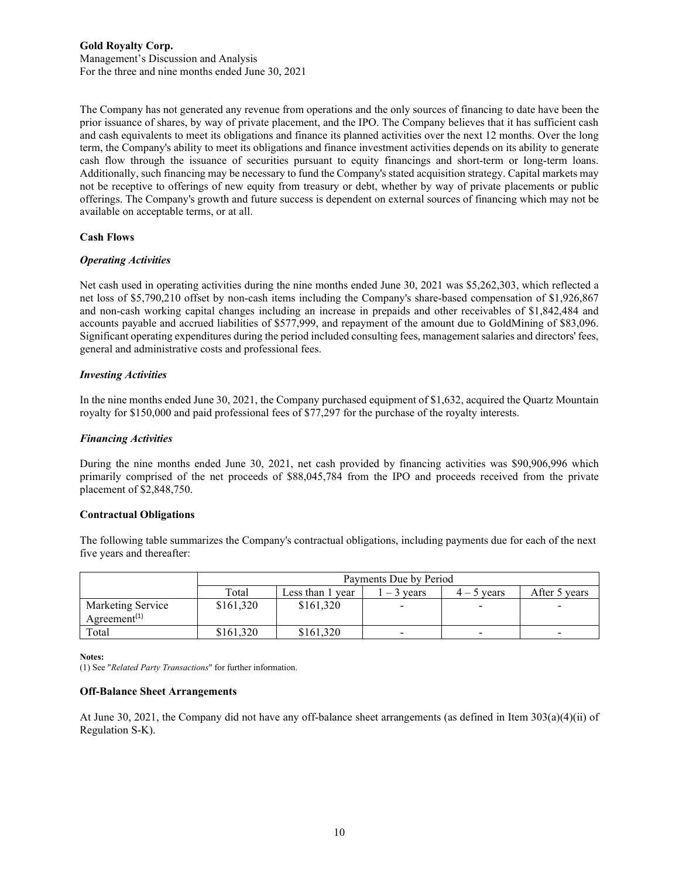### **Gold Royalty Corp.** Management's Discussion and Analysis For the three and nine months ended June 30, 2021

The Company has not generated any revenue from operations and the only sources of financing to date have been the prior issuance of shares, by way of private placement, and the IPO. The Company believes that it has sufficient cash and cash equivalents to meet its obligations and finance its planned activities over the next 12 months. Over the long term, the Company's ability to meet its obligations and finance investment activities depends on its ability to generate cash flow through the issuance of securities pursuant to equity financings and short-term or long-term loans. Additionally, such financing may be necessary to fund the Company's stated acquisition strategy. Capital markets may not be receptive to offerings of new equity from treasury or debt, whether by way of private placements or public offerings. The Company's growth and future success is dependent on external sources of financing which may not be available on acceptable terms, or at all.

## **Cash Flows**

### *Operating Activities*

Net cash used in operating activities during the nine months ended June 30, 2021 was \$5,262,303, which reflected a net loss of \$5,790,210 offset by non-cash items including the Company's share-based compensation of \$1,926,867 and non-cash working capital changes including an increase in prepaids and other receivables of \$1,842,484 and accounts payable and accrued liabilities of \$577,999, and repayment of the amount due to GoldMining of \$83,096. Significant operating expenditures during the period included consulting fees, management salaries and directors' fees, general and administrative costs and professional fees.

### *Investing Activities*

In the nine months ended June 30, 2021, the Company purchased equipment of \$1,632, acquired the Quartz Mountain royalty for \$150,000 and paid professional fees of \$77,297 for the purchase of the royalty interests.

### *Financing Activities*

During the nine months ended June 30, 2021, net cash provided by financing activities was \$90,906,996 which primarily comprised of the net proceeds of \$88,045,784 from the IPO and proceeds received from the private placement of \$2,848,750.

#### **Contractual Obligations**

The following table summarizes the Company's contractual obligations, including payments due for each of the next five years and thereafter:

|                                                            | Payments Due by Period |                     |                          |                          |               |
|------------------------------------------------------------|------------------------|---------------------|--------------------------|--------------------------|---------------|
|                                                            | Total                  | Less than 1<br>vear | $-3$ vears               | 5 years                  | After 5 years |
| Marketing Service<br>Agreement <sup><math>(1)</math></sup> | \$161,320              | \$161,320           | $\blacksquare$           |                          |               |
| Total                                                      | \$161.320              | \$161,320           | $\overline{\phantom{a}}$ | $\overline{\phantom{0}}$ |               |

**Notes:**

(1) See "*Related Party Transactions*" for further information.

### **Off-Balance Sheet Arrangements**

At June 30, 2021, the Company did not have any off-balance sheet arrangements (as defined in Item 303(a)(4)(ii) of Regulation S-K).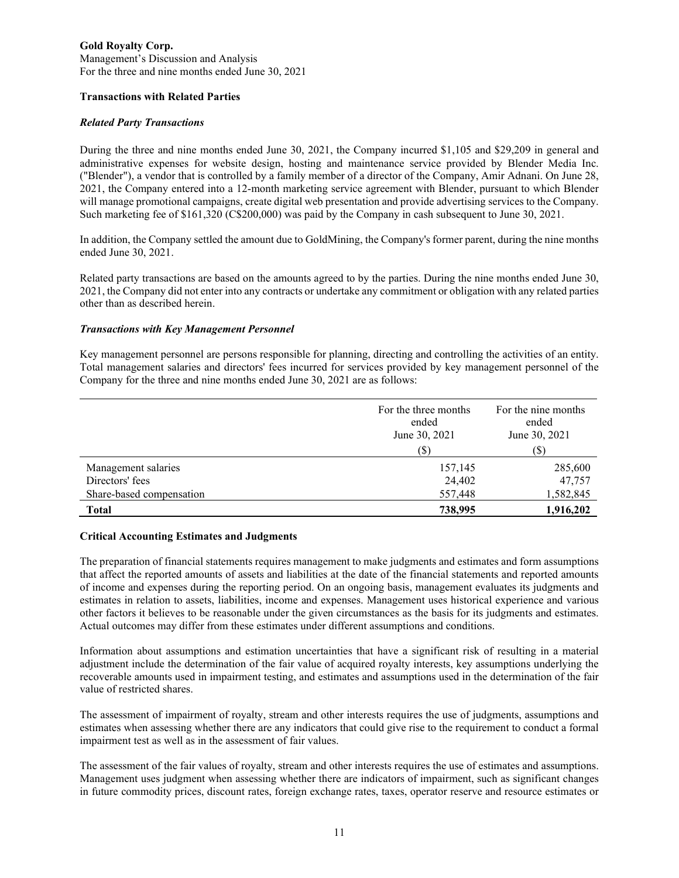### **Gold Royalty Corp.** Management's Discussion and Analysis For the three and nine months ended June 30, 2021

## **Transactions with Related Parties**

## *Related Party Transactions*

During the three and nine months ended June 30, 2021, the Company incurred \$1,105 and \$29,209 in general and administrative expenses for website design, hosting and maintenance service provided by Blender Media Inc. ("Blender"), a vendor that is controlled by a family member of a director of the Company, Amir Adnani. On June 28, 2021, the Company entered into a 12-month marketing service agreement with Blender, pursuant to which Blender will manage promotional campaigns, create digital web presentation and provide advertising services to the Company. Such marketing fee of \$161,320 (C\$200,000) was paid by the Company in cash subsequent to June 30, 2021.

In addition, the Company settled the amount due to GoldMining, the Company's former parent, during the nine months ended June 30, 2021.

Related party transactions are based on the amounts agreed to by the parties. During the nine months ended June 30, 2021, the Company did not enter into any contracts or undertake any commitment or obligation with any related parties other than as described herein.

## *Transactions with Key Management Personnel*

Key management personnel are persons responsible for planning, directing and controlling the activities of an entity. Total management salaries and directors' fees incurred for services provided by key management personnel of the Company for the three and nine months ended June 30, 2021 are as follows:

|                                                                    | For the three months<br>ended<br>June 30, 2021<br>(S) | For the nine months<br>ended<br>June 30, 2021<br>(\$` |
|--------------------------------------------------------------------|-------------------------------------------------------|-------------------------------------------------------|
| Management salaries<br>Directors' fees<br>Share-based compensation | 157,145<br>24,402<br>557,448                          | 285,600<br>47,757<br>1,582,845                        |
| <b>Total</b>                                                       | 738,995                                               | 1,916,202                                             |

## **Critical Accounting Estimates and Judgments**

The preparation of financial statements requires management to make judgments and estimates and form assumptions that affect the reported amounts of assets and liabilities at the date of the financial statements and reported amounts of income and expenses during the reporting period. On an ongoing basis, management evaluates its judgments and estimates in relation to assets, liabilities, income and expenses. Management uses historical experience and various other factors it believes to be reasonable under the given circumstances as the basis for its judgments and estimates. Actual outcomes may differ from these estimates under different assumptions and conditions.

Information about assumptions and estimation uncertainties that have a significant risk of resulting in a material adjustment include the determination of the fair value of acquired royalty interests, key assumptions underlying the recoverable amounts used in impairment testing, and estimates and assumptions used in the determination of the fair value of restricted shares.

The assessment of impairment of royalty, stream and other interests requires the use of judgments, assumptions and estimates when assessing whether there are any indicators that could give rise to the requirement to conduct a formal impairment test as well as in the assessment of fair values.

The assessment of the fair values of royalty, stream and other interests requires the use of estimates and assumptions. Management uses judgment when assessing whether there are indicators of impairment, such as significant changes in future commodity prices, discount rates, foreign exchange rates, taxes, operator reserve and resource estimates or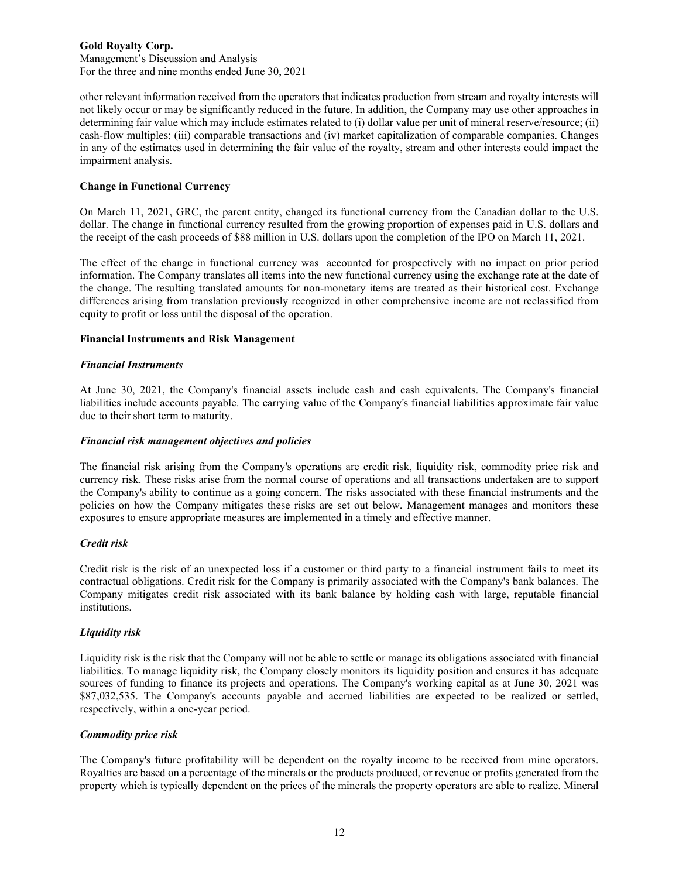Management's Discussion and Analysis For the three and nine months ended June 30, 2021

other relevant information received from the operators that indicates production from stream and royalty interests will not likely occur or may be significantly reduced in the future. In addition, the Company may use other approaches in determining fair value which may include estimates related to (i) dollar value per unit of mineral reserve/resource; (ii) cash-flow multiples; (iii) comparable transactions and (iv) market capitalization of comparable companies. Changes in any of the estimates used in determining the fair value of the royalty, stream and other interests could impact the impairment analysis.

## **Change in Functional Currency**

On March 11, 2021, GRC, the parent entity, changed its functional currency from the Canadian dollar to the U.S. dollar. The change in functional currency resulted from the growing proportion of expenses paid in U.S. dollars and the receipt of the cash proceeds of \$88 million in U.S. dollars upon the completion of the IPO on March 11, 2021.

The effect of the change in functional currency was accounted for prospectively with no impact on prior period information. The Company translates all items into the new functional currency using the exchange rate at the date of the change. The resulting translated amounts for non-monetary items are treated as their historical cost. Exchange differences arising from translation previously recognized in other comprehensive income are not reclassified from equity to profit or loss until the disposal of the operation.

## **Financial Instruments and Risk Management**

## *Financial Instruments*

At June 30, 2021, the Company's financial assets include cash and cash equivalents. The Company's financial liabilities include accounts payable. The carrying value of the Company's financial liabilities approximate fair value due to their short term to maturity.

## *Financial risk management objectives and policies*

The financial risk arising from the Company's operations are credit risk, liquidity risk, commodity price risk and currency risk. These risks arise from the normal course of operations and all transactions undertaken are to support the Company's ability to continue as a going concern. The risks associated with these financial instruments and the policies on how the Company mitigates these risks are set out below. Management manages and monitors these exposures to ensure appropriate measures are implemented in a timely and effective manner.

## *Credit risk*

Credit risk is the risk of an unexpected loss if a customer or third party to a financial instrument fails to meet its contractual obligations. Credit risk for the Company is primarily associated with the Company's bank balances. The Company mitigates credit risk associated with its bank balance by holding cash with large, reputable financial **institutions** 

## *Liquidity risk*

Liquidity risk is the risk that the Company will not be able to settle or manage its obligations associated with financial liabilities. To manage liquidity risk, the Company closely monitors its liquidity position and ensures it has adequate sources of funding to finance its projects and operations. The Company's working capital as at June 30, 2021 was \$87,032,535. The Company's accounts payable and accrued liabilities are expected to be realized or settled, respectively, within a one-year period.

## *Commodity price risk*

The Company's future profitability will be dependent on the royalty income to be received from mine operators. Royalties are based on a percentage of the minerals or the products produced, or revenue or profits generated from the property which is typically dependent on the prices of the minerals the property operators are able to realize. Mineral